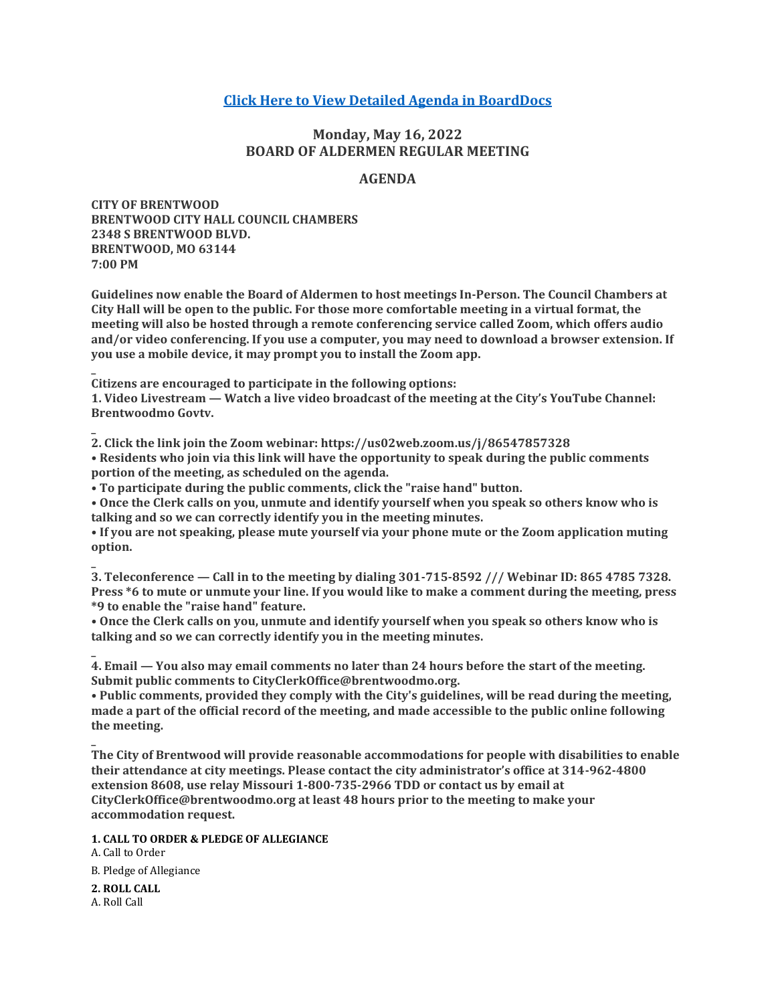# **[Click Here to View Detailed Agenda in BoardDocs](http://go.boarddocs.com/mo/cob/Board.nsf/goto?open&id=CCKLN65697B9)**

# **Monday, May 16, 2022 BOARD OF ALDERMEN REGULAR MEETING**

## **AGENDA**

**CITY OF BRENTWOOD BRENTWOOD CITY HALL COUNCIL CHAMBERS 2348 S BRENTWOOD BLVD. BRENTWOOD, MO 63144 7:00 PM**

**Guidelines now enable the Board of Aldermen to host meetings In-Person. The Council Chambers at City Hall will be open to the public. For those more comfortable meeting in a virtual format, the meeting will also be hosted through a remote conferencing service called Zoom, which offers audio and/or video conferencing. If you use a computer, you may need to download a browser extension. If you use a mobile device, it may prompt you to install the Zoom app.**

**Citizens are encouraged to participate in the following options:**

**1. Video Livestream — Watch a live video broadcast of the meeting at the City's YouTube Channel: Brentwoodmo Govtv.**

**2. Click the link join the Zoom webinar: https://us02web.zoom.us/j/86547857328 • Residents who join via this link will have the opportunity to speak during the public comments portion of the meeting, as scheduled on the agenda.**

**• To participate during the public comments, click the "raise hand" button.**

**• Once the Clerk calls on you, unmute and identify yourself when you speak so others know who is talking and so we can correctly identify you in the meeting minutes.**

**• If you are not speaking, please mute yourself via your phone mute or the Zoom application muting option.**

**\_ 3. Teleconference — Call in to the meeting by dialing 301-715-8592 /// Webinar ID: 865 4785 7328. Press \*6 to mute or unmute your line. If you would like to make a comment during the meeting, press \*9 to enable the "raise hand" feature.**

**• Once the Clerk calls on you, unmute and identify yourself when you speak so others know who is talking and so we can correctly identify you in the meeting minutes.**

**\_ 4. Email — You also may email comments no later than 24 hours before the start of the meeting. Submit public comments to CityClerkOffice@brentwoodmo.org.**

**• Public comments, provided they comply with the City's guidelines, will be read during the meeting, made a part of the official record of the meeting, and made accessible to the public online following the meeting.**

**The City of Brentwood will provide reasonable accommodations for people with disabilities to enable their attendance at city meetings. Please contact the city administrator's office at 314-962-4800 extension 8608, use relay Missouri 1-800-735-2966 TDD or contact us by email at CityClerkOffice@brentwoodmo.org at least 48 hours prior to the meeting to make your accommodation request.**

**1. CALL TO ORDER & PLEDGE OF ALLEGIANCE**

A. Call to Order B. Pledge of Allegiance

**2. ROLL CALL** A. Roll Call

**\_**

**\_**

**\_**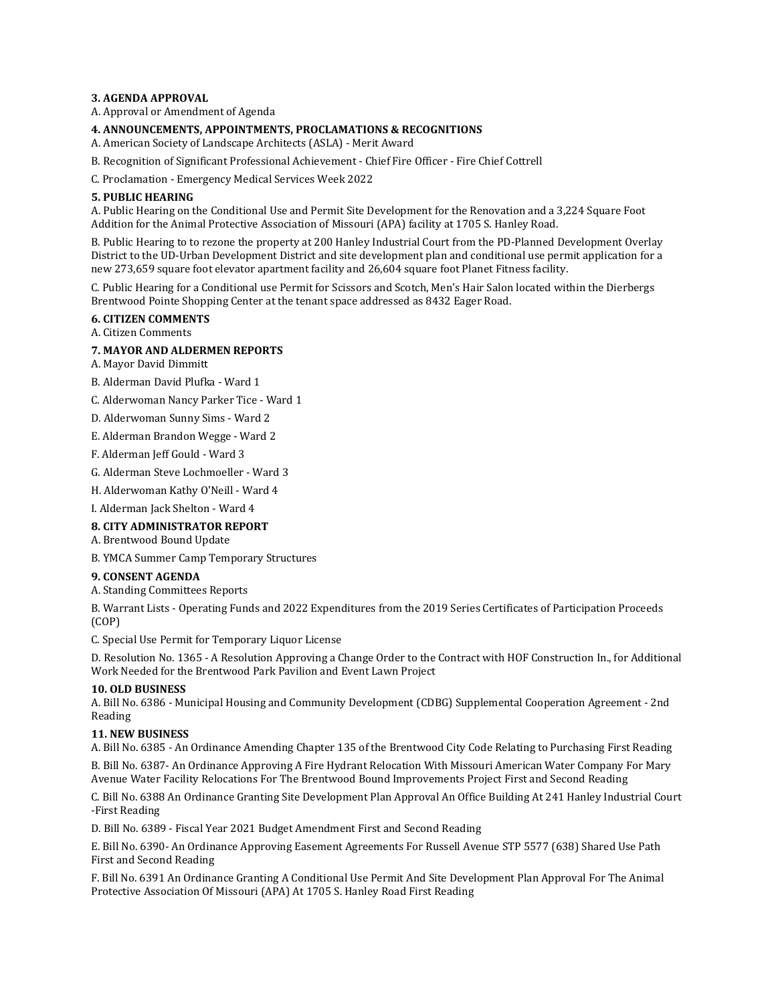#### **3. AGENDA APPROVAL**

A. Approval or Amendment of Agenda

#### **4. ANNOUNCEMENTS, APPOINTMENTS, PROCLAMATIONS & RECOGNITIONS**

A. American Society of Landscape Architects (ASLA) - Merit Award

B. Recognition of Significant Professional Achievement - Chief Fire Officer - Fire Chief Cottrell

C. Proclamation - Emergency Medical Services Week 2022

#### **5. PUBLIC HEARING**

A. Public Hearing on the Conditional Use and Permit Site Development for the Renovation and a 3,224 Square Foot Addition for the Animal Protective Association of Missouri (APA) facility at 1705 S. Hanley Road.

B. Public Hearing to to rezone the property at 200 Hanley Industrial Court from the PD-Planned Development Overlay District to the UD-Urban Development District and site development plan and conditional use permit application for a new 273,659 square foot elevator apartment facility and 26,604 square foot Planet Fitness facility.

C. Public Hearing for a Conditional use Permit for Scissors and Scotch, Men's Hair Salon located within the Dierbergs Brentwood Pointe Shopping Center at the tenant space addressed as 8432 Eager Road.

## **6. CITIZEN COMMENTS**

A. Citizen Comments

#### **7. MAYOR AND ALDERMEN REPORTS**

- A. Mayor David Dimmitt
- B. Alderman David Plufka Ward 1
- C. Alderwoman Nancy Parker Tice Ward 1
- D. Alderwoman Sunny Sims Ward 2
- E. Alderman Brandon Wegge Ward 2
- F. Alderman Jeff Gould Ward 3
- G. Alderman Steve Lochmoeller Ward 3
- H. Alderwoman Kathy O'Neill Ward 4

I. Alderman Jack Shelton - Ward 4

## **8. CITY ADMINISTRATOR REPORT**

A. Brentwood Bound Update

B. YMCA Summer Camp Temporary Structures

#### **9. CONSENT AGENDA**

A. Standing Committees Reports

B. Warrant Lists - Operating Funds and 2022 Expenditures from the 2019 Series Certificates of Participation Proceeds (COP)

C. Special Use Permit for Temporary Liquor License

D. Resolution No. 1365 - A Resolution Approving a Change Order to the Contract with HOF Construction In., for Additional Work Needed for the Brentwood Park Pavilion and Event Lawn Project

## **10. OLD BUSINESS**

A. Bill No. 6386 - Municipal Housing and Community Development (CDBG) Supplemental Cooperation Agreement - 2nd Reading

#### **11. NEW BUSINESS**

A. Bill No. 6385 - An Ordinance Amending Chapter 135 of the Brentwood City Code Relating to Purchasing First Reading B. Bill No. 6387- An Ordinance Approving A Fire Hydrant Relocation With Missouri American Water Company For Mary

Avenue Water Facility Relocations For The Brentwood Bound Improvements Project First and Second Reading

C. Bill No. 6388 An Ordinance Granting Site Development Plan Approval An Office Building At 241 Hanley Industrial Court -First Reading

D. Bill No. 6389 - Fiscal Year 2021 Budget Amendment First and Second Reading

E. Bill No. 6390- An Ordinance Approving Easement Agreements For Russell Avenue STP 5577 (638) Shared Use Path First and Second Reading

F. Bill No. 6391 An Ordinance Granting A Conditional Use Permit And Site Development Plan Approval For The Animal Protective Association Of Missouri (APA) At 1705 S. Hanley Road First Reading